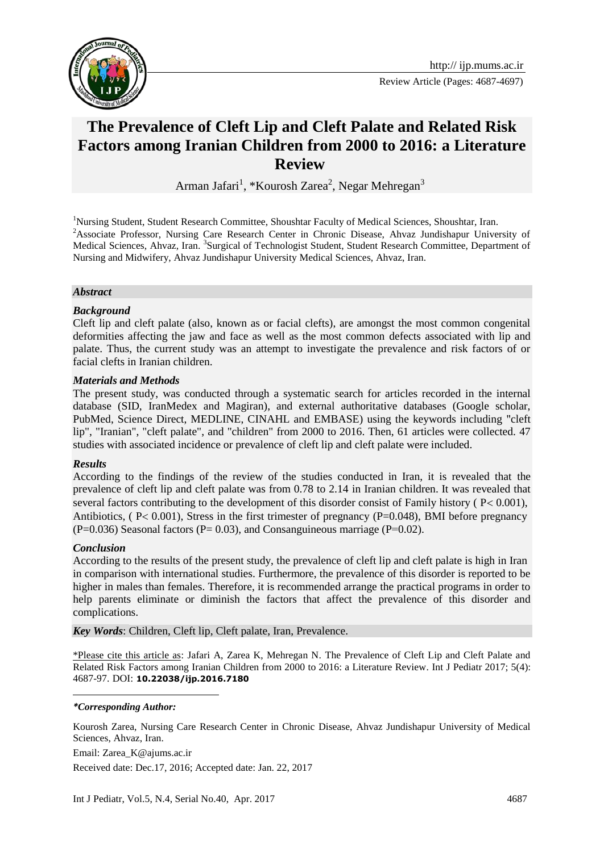

Review Article (Pages: 4687-4697)

# **The Prevalence of Cleft Lip and Cleft Palate and Related Risk Factors among Iranian Children from 2000 to 2016: a Literature Review**

Arman Jafari<sup>1</sup>, \*Kourosh Zarea<sup>2</sup>, Negar Mehregan<sup>3</sup>

<sup>1</sup>Nursing Student, Student Research Committee, Shoushtar Faculty of Medical Sciences, Shoushtar, Iran. <sup>2</sup>Associate Professor, Nursing Care Research Center in Chronic Disease, Ahvaz Jundishapur University of Medical Sciences, Ahvaz, Iran. <sup>3</sup>Surgical of Technologist Student, Student Research Committee, Department of Nursing and Midwifery, Ahvaz Jundishapur University Medical Sciences, Ahvaz, Iran.

#### *Abstract*

#### *Background*

Cleft lip and cleft palate (also, known as or facial clefts), are amongst the most common congenital deformities affecting the jaw and face as well as the most common defects associated with lip and palate. Thus, the current study was an attempt to investigate the prevalence and risk factors of or facial clefts in Iranian children.

#### *Materials and Methods*

The present study, was conducted through a systematic search for articles recorded in the internal database (SID, IranMedex and Magiran), and external authoritative databases (Google scholar, PubMed, Science Direct, MEDLINE, CINAHL and EMBASE) using the keywords including "cleft lip", "Iranian", "cleft palate", and "children" from 2000 to 2016. Then, 61 articles were collected. 47 studies with associated incidence or prevalence of cleft lip and cleft palate were included.

#### *Results*

According to the findings of the review of the studies conducted in Iran, it is revealed that the prevalence of cleft lip and cleft palate was from 0.78 to 2.14 in Iranian children. It was revealed that several factors contributing to the development of this disorder consist of Family history ( $P < 0.001$ ), Antibiotics, ( $P < 0.001$ ), Stress in the first trimester of pregnancy ( $P = 0.048$ ), BMI before pregnancy  $(P=0.036)$  Seasonal factors  $(P= 0.03)$ , and Consanguineous marriage  $(P=0.02)$ .

#### *Conclusion*

According to the results of the present study, the prevalence of cleft lip and cleft palate is high in Iran in comparison with international studies. Furthermore, the prevalence of this disorder is reported to be higher in males than females. Therefore, it is recommended arrange the practical programs in order to help parents eliminate or diminish the factors that affect the prevalence of this disorder and complications.

*Key Words*: Children, Cleft lip, Cleft palate, Iran, Prevalence.

\*Please cite this article as: Jafari A, Zarea K, Mehregan N. The Prevalence of Cleft Lip and Cleft Palate and Related Risk Factors among Iranian Children from 2000 to 2016: a Literature Review. Int J Pediatr 2017; 5(4): 4687-97. DOI: **10.22038/ijp.2016.7180**

#### 1 *\*Corresponding Author:*

Kourosh Zarea, Nursing Care Research Center in Chronic Disease, Ahvaz Jundishapur University of Medical Sciences, Ahvaz, Iran.

Email: Zarea\_K@ajums.ac.ir Received date: Dec.17, 2016; Accepted date: Jan. 22, 2017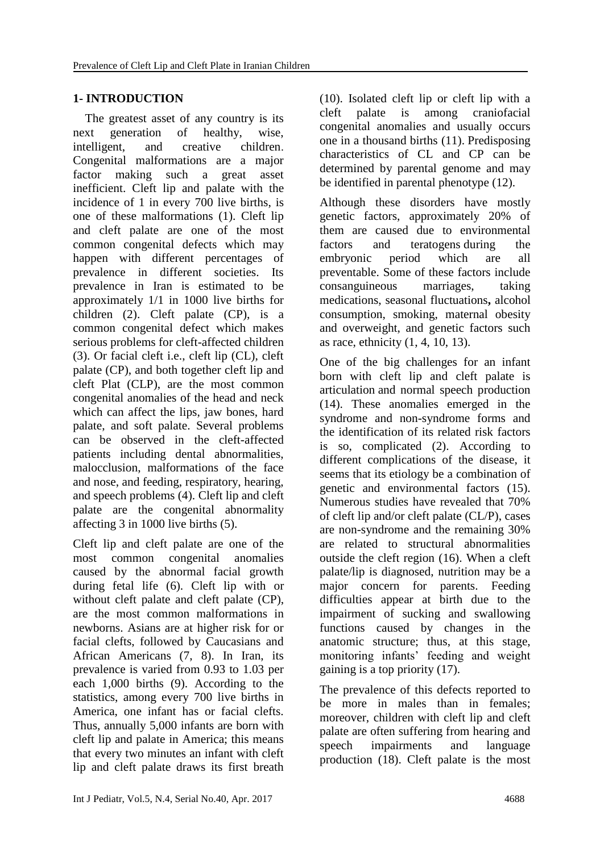# **1- INTRODUCTION**

 The greatest asset of any country is its next generation of healthy, wise, intelligent, and creative children. Congenital malformations are a major factor making such a great asset inefficient. Cleft lip and palate with the incidence of 1 in every 700 live births, is one of these malformations (1). Cleft lip and cleft palate are one of the most common congenital defects which may happen with different percentages of prevalence in different societies. Its prevalence in Iran is estimated to be approximately 1/1 in 1000 live births for children (2). Cleft palate (CP), is a common congenital defect which makes serious problems for cleft-affected children (3). Or facial cleft i.e., cleft lip (CL), cleft palate (CP), and both together cleft lip and cleft Plat (CLP), are the most common congenital anomalies of the head and neck which can affect the lips, jaw bones, hard palate, and soft palate. Several problems can be observed in the cleft-affected patients including dental abnormalities, malocclusion, malformations of the face and nose, and feeding, respiratory, hearing, and speech problems (4). Cleft lip and cleft palate are the congenital abnormality affecting 3 in 1000 live births (5).

Cleft lip and cleft palate are one of the most common congenital anomalies caused by the abnormal facial growth during fetal life (6). Cleft lip with or without cleft palate and cleft palate (CP), are the most common malformations in newborns. Asians are at higher risk for or facial clefts, followed by Caucasians and African Americans (7, 8). In Iran, its prevalence is varied from 0.93 to 1.03 per each 1,000 births (9). According to the statistics, among every 700 live births in America, one infant has or facial clefts. Thus, annually 5,000 infants are born with cleft lip and palate in America; this means that every two minutes an infant with cleft lip and cleft palate draws its first breath (10). Isolated cleft lip or cleft lip with a cleft palate is among craniofacial congenital anomalies and usually occurs one in a thousand births (11). Predisposing characteristics of CL and CP can be determined by parental genome and may be identified in parental phenotype (12).

Although these disorders have mostly genetic factors, approximately 20% of them are caused due to environmental factors and teratogens during the embryonic period which are all preventable. Some of these factors include consanguineous marriages, taking medications, seasonal fluctuations**,** alcohol consumption, smoking, maternal obesity and overweight, and genetic factors such as race, ethnicity (1, 4, 10, 13).

One of the big challenges for an infant born with cleft lip and cleft palate is articulation and normal speech production (14). These anomalies emerged in the syndrome and non-syndrome forms and the identification of its related risk factors is so, complicated (2). According to different complications of the disease, it seems that its etiology be a combination of genetic and environmental factors (15). Numerous studies have revealed that 70% of cleft lip and/or cleft palate (CL/P), cases are non-syndrome and the remaining 30% are related to structural abnormalities outside the cleft region (16). When a cleft palate/lip is diagnosed, nutrition may be a major concern for parents. Feeding difficulties appear at birth due to the impairment of sucking and swallowing functions caused by changes in the anatomic structure; thus, at this stage, monitoring infants' feeding and weight gaining is a top priority (17).

The prevalence of this defects reported to be more in males than in females; moreover, children with cleft lip and cleft palate are often suffering from hearing and speech impairments and language production (18). Cleft palate is the most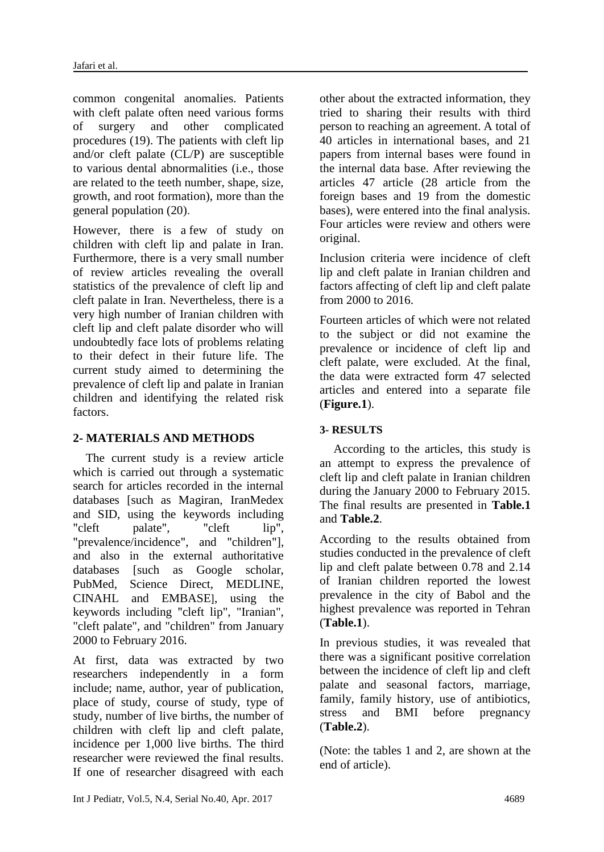common congenital anomalies. Patients with cleft palate often need various forms of surgery and other complicated procedures (19). The patients with cleft lip and/or cleft palate (CL/P) are susceptible to various dental abnormalities (i.e., those are related to the teeth number, shape, size, growth, and root formation), more than the general population (20).

However, there is a few of study on children with cleft lip and palate in Iran. Furthermore, there is a very small number of review articles revealing the overall statistics of the prevalence of cleft lip and cleft palate in Iran. Nevertheless, there is a very high number of Iranian children with cleft lip and cleft palate disorder who will undoubtedly face lots of problems relating to their defect in their future life. The current study aimed to determining the prevalence of cleft lip and palate in Iranian children and identifying the related risk factors.

# **2- MATERIALS AND METHODS**

 The current study is a review article which is carried out through a systematic search for articles recorded in the internal databases [such as Magiran, IranMedex and SID, using the keywords including "cleft palate", "cleft lip", "prevalence/incidence", and "children"], and also in the external authoritative databases [such as Google scholar, PubMed, Science Direct, MEDLINE, CINAHL and EMBASE], using the keywords including "cleft lip", "Iranian", "cleft palate", and "children" from January 2000 to February 2016.

At first, data was extracted by two researchers independently in a form include; name, author, year of publication, place of study, course of study, type of study, number of live births, the number of children with cleft lip and cleft palate, incidence per 1,000 live births. The third researcher were reviewed the final results. If one of researcher disagreed with each

other about the extracted information, they tried to sharing their results with third person to reaching an agreement. A total of 40 articles in international bases, and 21 papers from internal bases were found in the internal data base. After reviewing the articles 47 article (28 article from the foreign bases and 19 from the domestic bases), were entered into the final analysis. Four articles were review and others were original.

Inclusion criteria were incidence of cleft lip and cleft palate in Iranian children and factors affecting of cleft lip and cleft palate from 2000 to 2016.

Fourteen articles of which were not related to the subject or did not examine the prevalence or incidence of cleft lip and cleft palate, were excluded. At the final, the data were extracted form 47 selected articles and entered into a separate file (**Figure.1**).

# **3- RESULTS**

 According to the articles, this study is an attempt to express the prevalence of cleft lip and cleft palate in Iranian children during the January 2000 to February 2015. The final results are presented in **Table.1** and **Table.2**.

According to the results obtained from studies conducted in the prevalence of cleft lip and cleft palate between 0.78 and 2.14 of Iranian children reported the lowest prevalence in the city of Babol and the highest prevalence was reported in Tehran (**Table.1**).

In previous studies, it was revealed that there was a significant positive correlation between the incidence of cleft lip and cleft palate and seasonal factors, marriage, family, family history, use of antibiotics, stress and BMI before pregnancy (**Table.2**).

(Note: the tables 1 and 2, are shown at the end of article).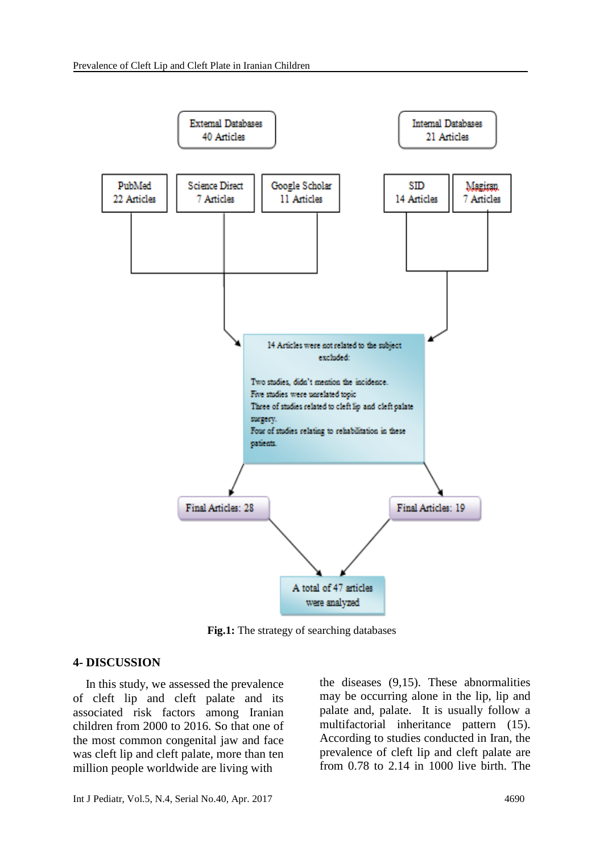

**Fig.1:** The strategy of searching databases

#### **4- DISCUSSION**

 In this study, we assessed the prevalence of cleft lip and cleft palate and its associated risk factors among Iranian children from 2000 to 2016. So that one of the most common congenital jaw and face was cleft lip and cleft palate, more than ten million people worldwide are living with

the diseases (9,15). These abnormalities may be occurring alone in the lip, lip and palate and, palate. It is usually follow a multifactorial inheritance pattern (15). According to studies conducted in Iran, the prevalence of cleft lip and cleft palate are from 0.78 to 2.14 in 1000 live birth. The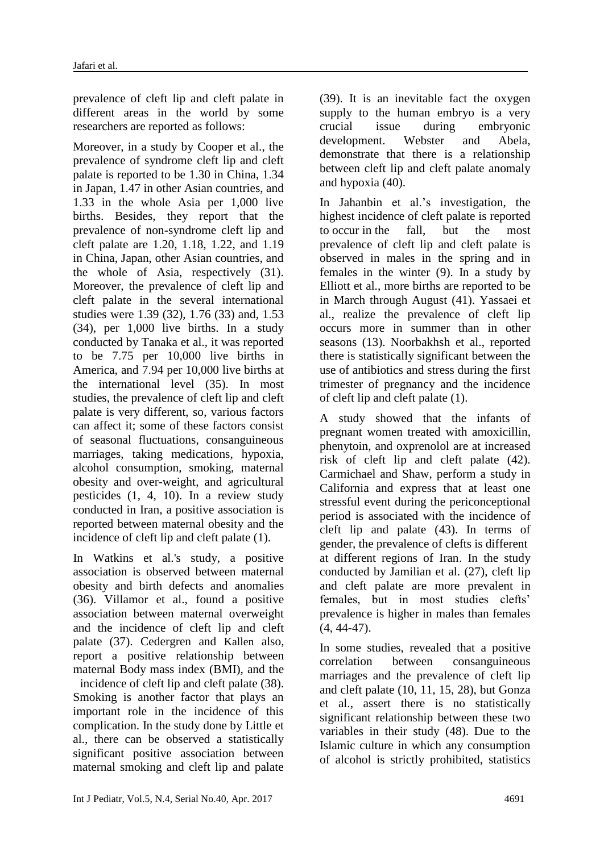prevalence of cleft lip and cleft palate in different areas in the world by some researchers are reported as follows:

Moreover, in a study by Cooper et al., the prevalence of syndrome cleft lip and cleft palate is reported to be 1.30 in China, 1.34 in Japan, 1.47 in other Asian countries, and 1.33 in the whole Asia per 1,000 live births. Besides, they report that the prevalence of non-syndrome cleft lip and cleft palate are 1.20, 1.18, 1.22, and 1.19 in China, Japan, other Asian countries, and the whole of Asia, respectively (31). Moreover, the prevalence of cleft lip and cleft palate in the several international studies were 1.39 (32), 1.76 (33) and, 1.53 (34), per 1,000 live births. In a study conducted by Tanaka et al., it was reported to be 7.75 per 10,000 live births in America, and 7.94 per 10,000 live births at the international level (35). In most studies, the prevalence of cleft lip and cleft palate is very different, so, various factors can affect it; some of these factors consist of seasonal fluctuations, consanguineous marriages, taking medications, hypoxia, alcohol consumption, smoking, maternal obesity and over-weight, and agricultural pesticides (1, 4, 10). In a review study conducted in Iran, a positive association is reported between maternal obesity and the incidence of cleft lip and cleft palate (1).

In Watkins et al.'s study, a positive association is observed between maternal obesity and birth defects and anomalies (36). Villamor et al., found a positive association between maternal overweight and the incidence of cleft lip and cleft palate (37). Cedergren and Kallen also, report a positive relationship between maternal Body mass index (BMI), and the incidence of cleft lip and cleft palate (38). Smoking is another factor that plays an important role in the incidence of this complication. In the study done by Little et al., there can be observed a statistically significant positive association between maternal smoking and cleft lip and palate

(39). It is an inevitable fact the oxygen supply to the human embryo is a very crucial issue during embryonic development. Webster and Abela, demonstrate that there is a relationship between cleft lip and cleft palate anomaly and hypoxia (40).

In Jahanbin et al.'s investigation, the highest incidence of cleft palate is reported to occur in the fall, but the most prevalence of cleft lip and cleft palate is observed in males in the spring and in females in the winter (9). In a study by Elliott et al., more births are reported to be in March through August (41). Yassaei et al., realize the prevalence of cleft lip occurs more in summer than in other seasons (13). Noorbakhsh et al., reported there is statistically significant between the use of antibiotics and stress during the first trimester of pregnancy and the incidence of cleft lip and cleft palate (1).

A study showed that the infants of pregnant women treated with amoxicillin, phenytoin, and oxprenolol are at increased risk of cleft lip and cleft palate (42). Carmichael and Shaw, perform a study in California and express that at least one stressful event during the periconceptional period is associated with the incidence of cleft lip and palate (43). In terms of gender, the prevalence of clefts is different at different regions of Iran. In the study conducted by Jamilian et al. (27), cleft lip and cleft palate are more prevalent in females, but in most studies clefts' prevalence is higher in males than females (4, 44-47).

In some studies, revealed that a positive correlation between consanguineous marriages and the prevalence of cleft lip and cleft palate (10, 11, 15, 28), but Gonza et al., assert there is no statistically significant relationship between these two variables in their study (48). Due to the Islamic culture in which any consumption of alcohol is strictly prohibited, statistics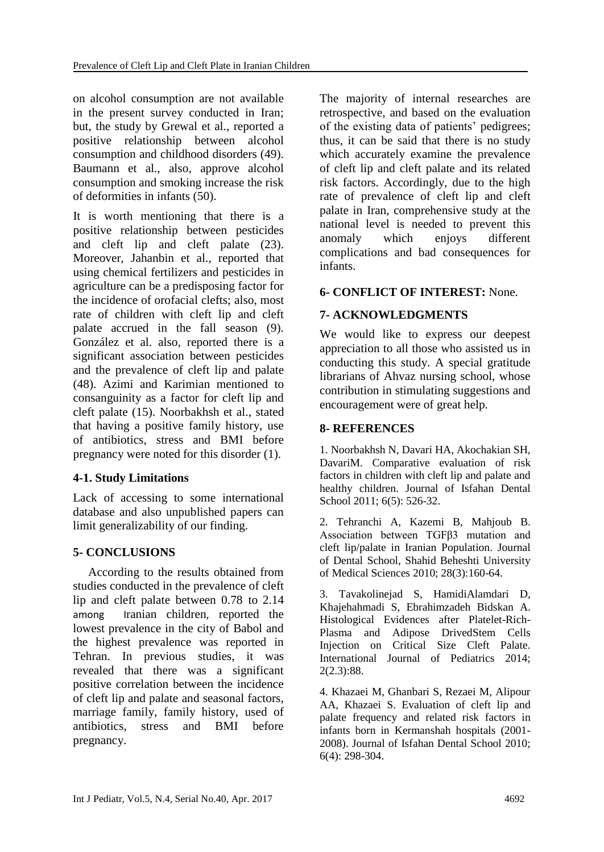on alcohol consumption are not available in the present survey conducted in Iran; but, the study by Grewal et al., reported a positive relationship between alcohol consumption and childhood disorders (49). Baumann et al., also, approve alcohol consumption and smoking increase the risk of deformities in infants (50).

It is worth mentioning that there is a positive relationship between pesticides and cleft lip and cleft palate (23). Moreover, Jahanbin et al., reported that using chemical fertilizers and pesticides in agriculture can be a predisposing factor for the incidence of orofacial clefts; also, most rate of children with cleft lip and cleft palate accrued in the fall season (9). González et al. also, reported there is a significant association between pesticides and the prevalence of cleft lip and palate (48). Azimi and Karimian mentioned to consanguinity as a factor for cleft lip and cleft palate (15). Noorbakhsh et al., stated that having a positive family history, use of antibiotics, stress and BMI before pregnancy were noted for this disorder (1).

# **4-1. Study Limitations**

Lack of accessing to some international database and also unpublished papers can limit generalizability of our finding.

# **5- CONCLUSIONS**

 According to the results obtained from studies conducted in the prevalence of cleft lip and cleft palate between 0.78 to 2.14 among Iranian children, reported the lowest prevalence in the city of Babol and the highest prevalence was reported in Tehran. In previous studies, it was revealed that there was a significant positive correlation between the incidence of cleft lip and palate and seasonal factors, marriage family, family history, used of antibiotics, stress and BMI before pregnancy.

The majority of internal researches are retrospective, and based on the evaluation of the existing data of patients' pedigrees; thus, it can be said that there is no study which accurately examine the prevalence of cleft lip and cleft palate and its related risk factors. Accordingly, due to the high rate of prevalence of cleft lip and cleft palate in Iran, comprehensive study at the national level is needed to prevent this anomaly which enjoys different complications and bad consequences for infants.

### **6- CONFLICT OF INTEREST:** None.

### **7- ACKNOWLEDGMENTS**

We would like to express our deepest appreciation to all those who assisted us in conducting this study. A special gratitude librarians of Ahvaz nursing school, whose contribution in stimulating suggestions and encouragement were of great help.

### **8- REFERENCES**

1. Noorbakhsh N, Davari HA, Akochakian SH, DavariM. Comparative evaluation of risk factors in children with cleft lip and palate and healthy children. Journal of Isfahan Dental School 2011; 6(5): 526-32.

2. Tehranchi A, Kazemi B, Mahjoub B. Association between TGFβ3 mutation and cleft lip/palate in Iranian Population. Journal of Dental School, Shahid Beheshti University of Medical Sciences 2010; 28(3):160-64.

3. Tavakolinejad S, HamidiAlamdari D, Khajehahmadi S, Ebrahimzadeh Bidskan A. Histological Evidences after Platelet-Rich-Plasma and Adipose DrivedStem Cells Injection on Critical Size Cleft Palate. International Journal of Pediatrics 2014; 2(2.3):88.

4. Khazaei M, Ghanbari S, Rezaei M, Alipour AA, Khazaei S. Evaluation of cleft lip and palate frequency and related risk factors in infants born in Kermanshah hospitals (2001- 2008). Journal of Isfahan Dental School 2010; 6(4): 298-304.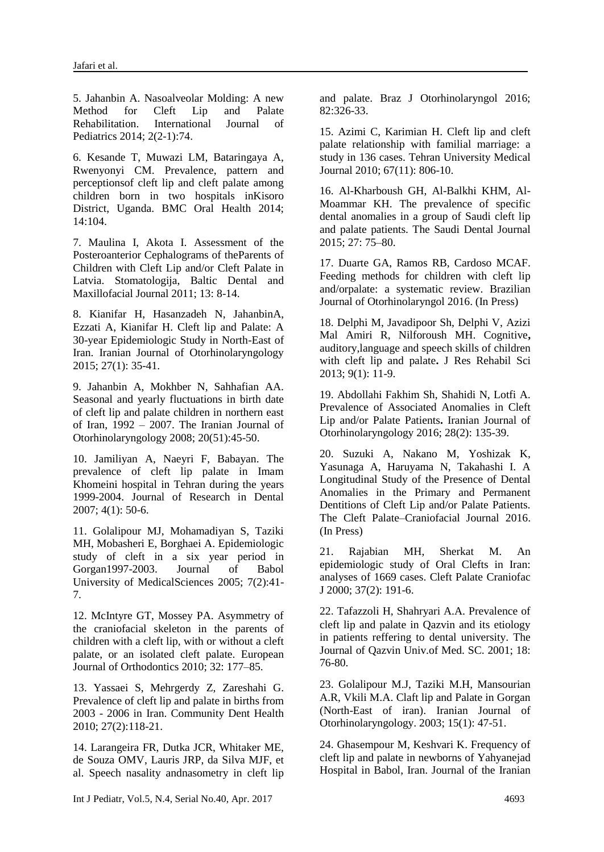5. Jahanbin A. Nasoalveolar Molding: A new Method for Cleft Lip and Palate Rehabilitation. International Journal of Pediatrics 2014; 2(2-1):74.

6. Kesande T, Muwazi LM, Bataringaya A, Rwenyonyi CM. Prevalence, pattern and perceptionsof cleft lip and cleft palate among children born in two hospitals inKisoro District, Uganda. BMC Oral Health 2014; 14:104.

7. Maulina I, Akota I. Assessment of the Posteroanterior Cephalograms of theParents of Children with Cleft Lip and/or Cleft Palate in Latvia. Stomatologija, Baltic Dental and Maxillofacial Journal 2011; 13: 8-14.

8. Kianifar H, Hasanzadeh N, JahanbinA, Ezzati A, Kianifar H. Cleft lip and Palate: A 30-year Epidemiologic Study in North-East of Iran. Iranian Journal of Otorhinolaryngology 2015; 27(1): 35-41.

9. Jahanbin A, Mokhber N, Sahhafian AA. Seasonal and yearly fluctuations in birth date of cleft lip and palate children in northern east of Iran, 1992 – 2007. The Iranian Journal of Otorhinolaryngology 2008; 20(51):45-50.

10. Jamiliyan A, Naeyri F, Babayan. The prevalence of cleft lip palate in Imam Khomeini hospital in Tehran during the years 1999-2004. Journal of Research in Dental 2007; 4(1): 50-6.

11. Golalipour MJ, Mohamadiyan S, Taziki MH, Mobasheri E, Borghaei A. Epidemiologic study of cleft in a six year period in Gorgan1997-2003. Journal of Babol University of MedicalSciences 2005; 7(2):41- 7.

12. McIntyre GT, Mossey PA. Asymmetry of the craniofacial skeleton in the parents of children with a cleft lip, with or without a cleft palate, or an isolated cleft palate. European Journal of Orthodontics 2010; 32: 177–85.

13. Yassaei S, Mehrgerdy Z, Zareshahi G. Prevalence of cleft lip and palate in births from 2003 - 2006 in Iran. Community Dent Health 2010; 27(2):118-21.

14. Larangeira FR, Dutka JCR, Whitaker ME, de Souza OMV, Lauris JRP, da Silva MJF, et al. Speech nasality andnasometry in cleft lip and palate. Braz J Otorhinolaryngol 2016; 82:326-33.

15. Azimi C, Karimian H. Cleft lip and cleft palate relationship with familial marriage: a study in 136 cases. Tehran University Medical Journal 2010; 67(11): 806-10.

16. Al-Kharboush GH, Al-Balkhi KHM, Al-Moammar KH. The prevalence of specific dental anomalies in a group of Saudi cleft lip and palate patients. The Saudi Dental Journal 2015; 27: 75–80.

17. Duarte GA, Ramos RB, Cardoso MCAF. Feeding methods for children with cleft lip and/orpalate: a systematic review. Brazilian Journal of Otorhinolaryngol 2016. (In Press)

18. Delphi M, Javadipoor Sh, Delphi V, Azizi Mal Amiri R, Nilforoush MH. Cognitive**,**  auditory,language and speech skills of children with cleft lip and palate**.** J Res Rehabil Sci 2013; 9(1): 11-9.

19. Abdollahi Fakhim Sh, Shahidi N, Lotfi A. Prevalence of Associated Anomalies in Cleft Lip and/or Palate Patients**.** Iranian Journal of Otorhinolaryngology 2016; 28(2): 135-39.

20. Suzuki A, Nakano M, Yoshizak K, Yasunaga A, Haruyama N, Takahashi I. A Longitudinal Study of the Presence of Dental Anomalies in the Primary and Permanent Dentitions of Cleft Lip and/or Palate Patients. The Cleft Palate–Craniofacial Journal 2016. (In Press)

21. Rajabian MH, Sherkat M. An epidemiologic study of Oral Clefts in Iran: analyses of 1669 cases. Cleft Palate Craniofac J 2000; 37(2): 191-6.

22. Tafazzoli H, Shahryari A.A. Prevalence of cleft lip and palate in Qazvin and its etiology in patients reffering to dental university. The Journal of Qazvin Univ.of Med. SC. 2001; 18: 76-80.

23. Golalipour M.J, Taziki M.H, Mansourian A.R, Vkili M.A. Claft lip and Palate in Gorgan (North-East of iran). Iranian Journal of Otorhinolaryngology. 2003; 15(1): 47-51.

24. Ghasempour M, Keshvari K. Frequency of cleft lip and palate in newborns of Yahyanejad Hospital in Babol, Iran. Journal of the Iranian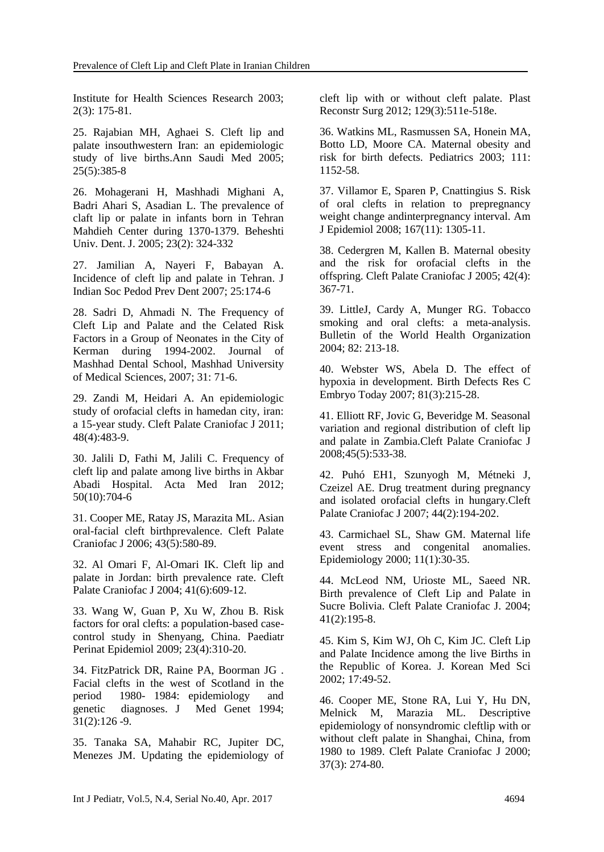Institute for Health Sciences Research 2003; 2(3): 175-81.

25. Rajabian MH, Aghaei S. Cleft lip and palate insouthwestern Iran: an epidemiologic study of live births.Ann Saudi Med 2005; 25(5):385-8

26. Mohagerani H, Mashhadi Mighani A, Badri Ahari S, Asadian L. The prevalence of claft lip or palate in infants born in Tehran Mahdieh Center during 1370-1379. Beheshti Univ. Dent. J. 2005; 23(2): 324-332

27. Jamilian A, Nayeri F, Babayan A. Incidence of cleft lip and palate in Tehran. J Indian Soc Pedod Prev Dent 2007; 25:174-6

28. Sadri D, Ahmadi N. The Frequency of Cleft Lip and Palate and the Celated Risk Factors in a Group of Neonates in the City of Kerman during 1994-2002. Journal of Mashhad Dental School, Mashhad University of Medical Sciences, 2007; 31: 71-6.

29. Zandi M, Heidari A. An epidemiologic study of orofacial clefts in hamedan city, iran: a 15-year study. Cleft Palate Craniofac J 2011; 48(4):483-9.

30. Jalili D, Fathi M, Jalili C. Frequency of cleft lip and palate among live births in Akbar Abadi Hospital. Acta Med Iran 2012; 50(10):704-6

31. Cooper ME, Ratay JS, Marazita ML. Asian oral-facial cleft birthprevalence. Cleft Palate Craniofac J 2006; 43(5):580-89.

32. Al Omari F, Al-Omari IK. Cleft lip and palate in Jordan: birth prevalence rate. Cleft Palate Craniofac J 2004; 41(6):609-12.

33. Wang W, Guan P, Xu W, Zhou B. Risk factors for oral clefts: a population-based casecontrol study in Shenyang, China. Paediatr Perinat Epidemiol 2009; 23(4):310-20.

34. FitzPatrick DR, Raine PA, Boorman JG . Facial clefts in the west of Scotland in the period 1980- 1984: epidemiology and genetic diagnoses. J Med Genet 1994; 31(2):126 -9.

35. Tanaka SA, Mahabir RC, Jupiter DC, Menezes JM. Updating the epidemiology of cleft lip with or without cleft palate. Plast Reconstr Surg 2012; 129(3):511e-518e.

36. Watkins ML, Rasmussen SA, Honein MA, Botto LD, Moore CA. Maternal obesity and risk for birth defects. Pediatrics 2003; 111: 1152-58.

37. Villamor E, Sparen P, Cnattingius S. Risk of oral clefts in relation to prepregnancy weight change andinterpregnancy interval. Am J Epidemiol 2008; 167(11): 1305-11.

38. Cedergren M, Kallen B. Maternal obesity and the risk for orofacial clefts in the offspring. Cleft Palate Craniofac J 2005; 42(4): 367-71.

39. LittleJ, Cardy A, Munger RG. Tobacco smoking and oral clefts: a meta-analysis. Bulletin of the World Health Organization 2004; 82: 213-18.

40. Webster WS, Abela D. The effect of hypoxia in development. Birth Defects Res C Embryo Today 2007; 81(3):215-28.

41. Elliott RF, Jovic G, Beveridge M. Seasonal variation and regional distribution of cleft lip and palate in Zambia.Cleft Palate Craniofac J 2008;45(5):533-38.

42. Puhó EH1, Szunyogh M, Métneki J, Czeizel AE. Drug treatment during pregnancy and isolated orofacial clefts in hungary.Cleft Palate Craniofac J 2007; 44(2):194-202.

43. Carmichael SL, Shaw GM. Maternal life event stress and congenital anomalies. Epidemiology 2000; 11(1):30-35.

44. McLeod NM, Urioste ML, Saeed NR. Birth prevalence of Cleft Lip and Palate in Sucre Bolivia. Cleft Palate Craniofac J. 2004; 41(2):195-8.

45. Kim S, Kim WJ, Oh C, Kim JC. Cleft Lip and Palate Incidence among the live Births in the Republic of Korea. J. Korean Med Sci 2002; 17:49-52.

46. Cooper ME, Stone RA, Lui Y, Hu DN, Melnick M, Marazia ML. Descriptive epidemiology of nonsyndromic cleftlip with or without cleft palate in Shanghai, China, from 1980 to 1989. Cleft Palate Craniofac J 2000; 37(3): 274-80.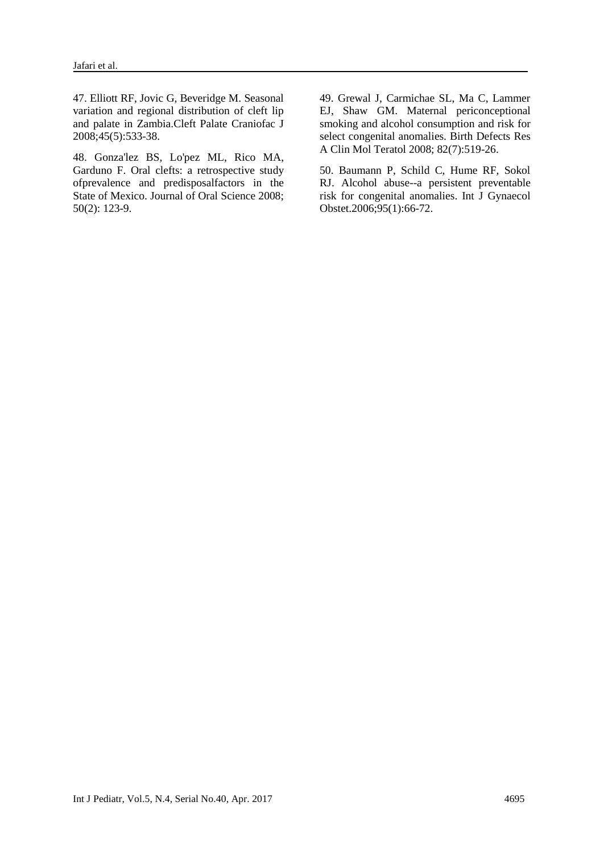47. Elliott RF, Jovic G, Beveridge M. Seasonal variation and regional distribution of cleft lip and palate in Zambia.Cleft Palate Craniofac J 2008;45(5):533-38.

48. Gonza'lez BS, Lo'pez ML, Rico MA, Garduno F. Oral clefts: a retrospective study ofprevalence and predisposalfactors in the State of Mexico. Journal of Oral Science 2008; 50(2): 123-9.

49. Grewal J, Carmichae SL, Ma C, Lammer EJ, Shaw GM. Maternal periconceptional smoking and alcohol consumption and risk for select congenital anomalies. Birth Defects Res A Clin Mol Teratol 2008; 82(7):519-26.

50. Baumann P, Schild C, Hume RF, Sokol RJ. Alcohol abuse--a persistent preventable risk for congenital anomalies. Int J Gynaecol Obstet.2006;95(1):66-72.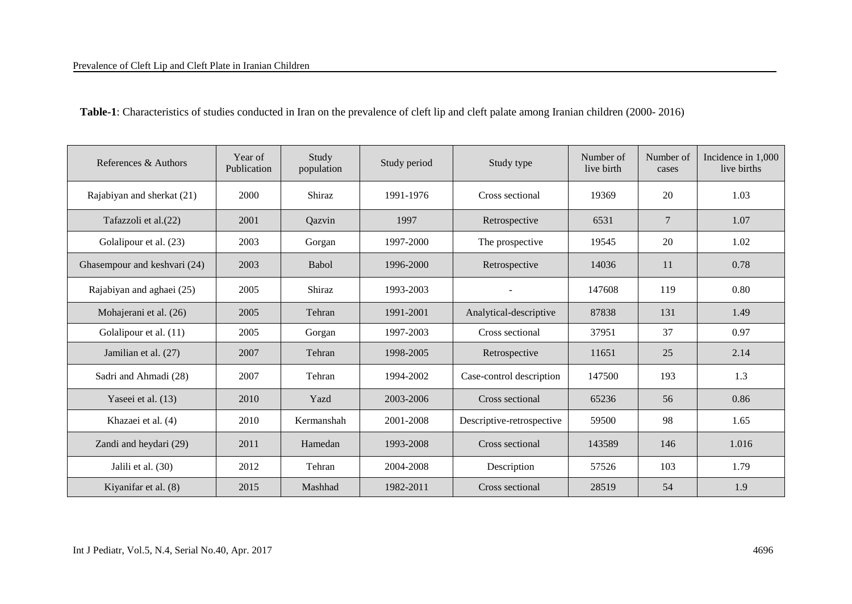| Table-1: Characteristics of studies conducted in Iran on the prevalence of cleft lip and cleft palate among Iranian children (2000-2016) |  |  |  |
|------------------------------------------------------------------------------------------------------------------------------------------|--|--|--|
|------------------------------------------------------------------------------------------------------------------------------------------|--|--|--|

| References & Authors         | Year of<br>Publication | Study<br>population | Study period | Study type                | Number of<br>live birth | Number of<br>cases | Incidence in 1,000<br>live births |
|------------------------------|------------------------|---------------------|--------------|---------------------------|-------------------------|--------------------|-----------------------------------|
| Rajabiyan and sherkat (21)   | 2000                   | Shiraz              | 1991-1976    | Cross sectional           | 19369                   | 20                 | 1.03                              |
| Tafazzoli et al.(22)         | 2001                   | Qazvin              | 1997         | Retrospective             | 6531                    | $7\phantom{.0}$    | 1.07                              |
| Golalipour et al. (23)       | 2003                   | Gorgan              | 1997-2000    | The prospective           | 19545                   | 20                 | 1.02                              |
| Ghasempour and keshvari (24) | 2003                   | Babol               | 1996-2000    | Retrospective             | 14036                   | 11                 | 0.78                              |
| Rajabiyan and aghaei (25)    | 2005                   | Shiraz              | 1993-2003    |                           | 147608                  | 119                | 0.80                              |
| Mohajerani et al. (26)       | 2005                   | Tehran              | 1991-2001    | Analytical-descriptive    | 87838                   | 131                | 1.49                              |
| Golalipour et al. (11)       | 2005                   | Gorgan              | 1997-2003    | Cross sectional           | 37951                   | 37                 | 0.97                              |
| Jamilian et al. (27)         | 2007                   | Tehran              | 1998-2005    | Retrospective             | 11651                   | 25                 | 2.14                              |
| Sadri and Ahmadi (28)        | 2007                   | Tehran              | 1994-2002    | Case-control description  | 147500                  | 193                | 1.3                               |
| Yaseei et al. (13)           | 2010                   | Yazd                | 2003-2006    | Cross sectional           | 65236                   | 56                 | 0.86                              |
| Khazaei et al. (4)           | 2010                   | Kermanshah          | 2001-2008    | Descriptive-retrospective | 59500                   | 98                 | 1.65                              |
| Zandi and heydari (29)       | 2011                   | Hamedan             | 1993-2008    | Cross sectional           | 143589                  | 146                | 1.016                             |
| Jalili et al. (30)           | 2012                   | Tehran              | 2004-2008    | Description               | 57526                   | 103                | 1.79                              |
| Kiyanifar et al. (8)         | 2015                   | Mashhad             | 1982-2011    | Cross sectional           | 28519                   | 54                 | 1.9                               |